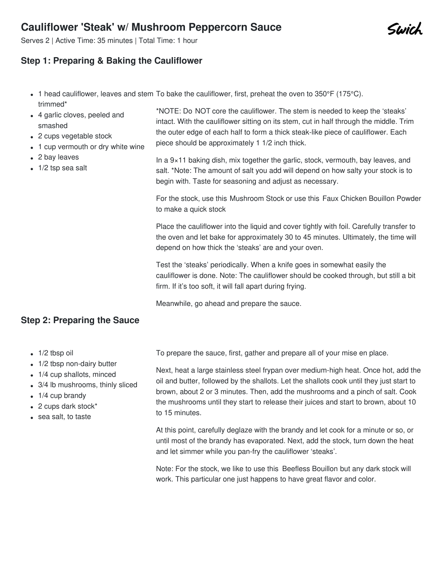# **Cauliflower 'Steak' w/ Mushroom Peppercorn Sauce**

Serves 2 | Active Time: 35 minutes | Total Time: 1 hour

# **Step 1: Preparing & Baking the Cauliflower**

- 1 head cauliflower, leaves and stem To bake the cauliflower, first, preheat the oven to 350°F (175°C). trimmed\*
- 4 garlic cloves, peeled and smashed
- 2 cups vegetable stock
- 1 cup vermouth or dry white wine
- 2 bay leaves
- 1/2 tsp sea salt

\*NOTE: Do NOT core the cauliflower. The stem is needed to keep the 'steaks' intact. With the cauliflower sitting on its stem, cut in half through the middle. Trim the outer edge of each half to form a thick steak-like piece of cauliflower. Each piece should be approximately 1 1/2 inch thick.

In a 9×11 baking dish, mix together the garlic, stock, vermouth, bay leaves, and salt. \*Note: The amount of salt you add will depend on how salty your stock is to begin with. Taste for seasoning and adjust as necessary.

For the stock, use this [Mushroom](file:///recipes/7) Stock or use this Faux [Chicken](file:///recipes/512) Bouillon Powder to make a quick stock

Place the cauliflower into the liquid and cover tightly with foil. Carefully transfer to the oven and let bake for approximately 30 to 45 minutes. Ultimately, the time will depend on how thick the 'steaks' are and your oven.

Test the 'steaks' periodically. When a knife goes in somewhat easily the cauliflower is done. Note: The cauliflower should be cooked through, but still a bit firm. If it's too soft, it will fall apart during frying.

Meanwhile, go ahead and prepare the sauce.

# **Step 2: Preparing the Sauce**

- $\bullet$  1/2 tbsp oil
- 1/2 tbsp non-dairy butter
- 1/4 cup shallots, minced
- 3/4 lb mushrooms, thinly sliced
- 1/4 cup brandy
- 2 cups dark stock\*
- sea salt, to taste

To prepare the sauce, first, gather and prepare all of your mise en place.

Next, heat a large stainless steel frypan over medium-high heat. Once hot, add the oil and butter, followed by the shallots. Let the shallots cook until they just start to brown, about 2 or 3 minutes. Then, add the mushrooms and a pinch of salt. Cook the mushrooms until they start to release their juices and start to brown, about 10 to 15 minutes.

At this point, carefully deglaze with the brandy and let cook for a minute or so, or until most of the brandy has evaporated. Next, add the stock, turn down the heat and let simmer while you pan-fry the cauliflower 'steaks'.

Note: For the stock, we like to use this [Beefless](https://www.betterthanbouillon.com/products/no-beef-base/) Bouillon but any dark stock will work. This particular one just happens to have great flavor and color.

Swich